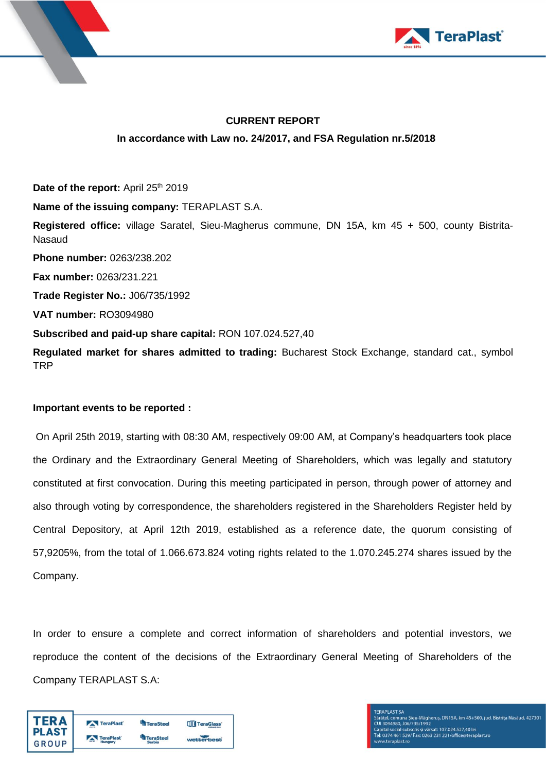



# **CURRENT REPORT In accordance with Law no. 24/2017, and FSA Regulation nr.5/2018**

Date of the report: April 25<sup>th</sup> 2019 **Name of the issuing company:** TERAPLAST S.A. **Registered office:** village Saratel, Sieu-Magherus commune, DN 15A, km 45 + 500, county Bistrita-Nasaud **Phone number:** 0263/238.202 **Fax number:** 0263/231.221 **Trade Register No.:** J06/735/1992 **VAT number:** RO3094980 **Subscribed and paid-up share capital:** RON 107.024.527,40 **Regulated market for shares admitted to trading:** Bucharest Stock Exchange, standard cat., symbol TRP

### **Important events to be reported :**

On April 25th 2019, starting with 08:30 AM, respectively 09:00 AM, at Company's headquarters took place the Ordinary and the Extraordinary General Meeting of Shareholders, which was legally and statutory constituted at first convocation. During this meeting participated in person, through power of attorney and also through voting by correspondence, the shareholders registered in the Shareholders Register held by Central Depository, at April 12th 2019, established as a reference date, the quorum consisting of 57,9205%, from the total of 1.066.673.824 voting rights related to the 1.070.245.274 shares issued by the Company.

In order to ensure a complete and correct information of shareholders and potential investors, we reproduce the content of the decisions of the Extraordinary General Meeting of Shareholders of the Company TERAPLAST S.A:

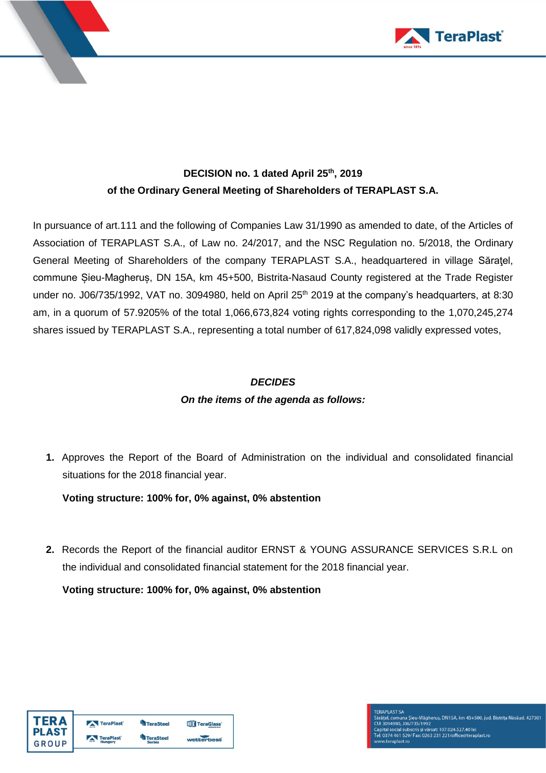

# **DECISION no. 1 dated April 25 th , 2019 of the Ordinary General Meeting of Shareholders of TERAPLAST S.A.**

In pursuance of art.111 and the following of Companies Law 31/1990 as amended to date, of the Articles of Association of TERAPLAST S.A., of Law no. 24/2017, and the NSC Regulation no. 5/2018, the Ordinary General Meeting of Shareholders of the company TERAPLAST S.A., headquartered in village Săraţel, commune Șieu-Magheruș, DN 15A, km 45+500, Bistrita-Nasaud County registered at the Trade Register under no. J06/735/1992, VAT no. 3094980, held on April 25<sup>th</sup> 2019 at the company's headquarters, at 8:30 am, in a quorum of 57.9205% of the total 1,066,673,824 voting rights corresponding to the 1,070,245,274 shares issued by TERAPLAST S.A., representing a total number of 617,824,098 validly expressed votes,

## *DECIDES*

# *On the items of the agenda as follows:*

**1.** Approves the Report of the Board of Administration on the individual and consolidated financial situations for the 2018 financial year.

**Voting structure: 100% for, 0% against, 0% abstention**

**2.** Records the Report of the financial auditor ERNST & YOUNG ASSURANCE SERVICES S.R.L on the individual and consolidated financial statement for the 2018 financial year.

**Voting structure: 100% for, 0% against, 0% abstention**

| FR A         | TeraPlast        | <b>TeraSteel</b> | TeraGlass <sup>®</sup> |
|--------------|------------------|------------------|------------------------|
| <b>PLAST</b> | <b>TeraPlast</b> | <b>TeraSteel</b> | wetterbest             |
| GROUP        | Hungary          | <b>Serbia</b>    |                        |

**FERAPLAST SA** rasa v. Ur. 2007)<br>Caratel, comuna Șieu-Măgheruș, DN15A, km 45+500, jud. Bistrița Năsăud, 427301<br>Capital social subscris și vărsat: 107.024.527.40 lei<br>Tei: 0374 461 529/ Fax: 0263 231 221/office@teraplast.ro<br>Tei: 0374 461 5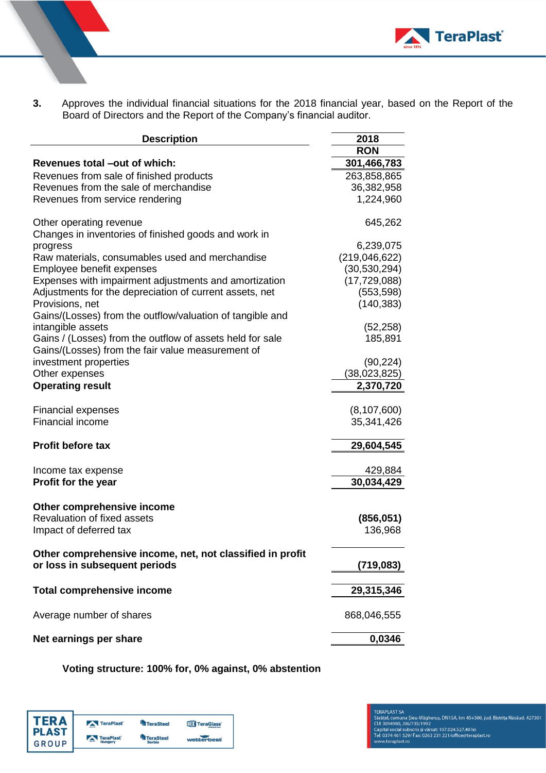

**3.** Approves the individual financial situations for the 2018 financial year, based on the Report of the Board of Directors and the Report of the Company's financial auditor.

| <b>Description</b>                                        | 2018            |
|-----------------------------------------------------------|-----------------|
|                                                           | <b>RON</b>      |
| Revenues total -out of which:                             | 301,466,783     |
| Revenues from sale of finished products                   | 263,858,865     |
| Revenues from the sale of merchandise                     | 36,382,958      |
| Revenues from service rendering                           | 1,224,960       |
| Other operating revenue                                   | 645,262         |
| Changes in inventories of finished goods and work in      |                 |
| progress                                                  | 6,239,075       |
| Raw materials, consumables used and merchandise           | (219, 046, 622) |
| Employee benefit expenses                                 | (30, 530, 294)  |
| Expenses with impairment adjustments and amortization     | (17, 729, 088)  |
| Adjustments for the depreciation of current assets, net   | (553, 598)      |
| Provisions, net                                           | (140, 383)      |
| Gains/(Losses) from the outflow/valuation of tangible and |                 |
| intangible assets                                         | (52, 258)       |
| Gains / (Losses) from the outflow of assets held for sale | 185,891         |
| Gains/(Losses) from the fair value measurement of         |                 |
| investment properties                                     | (90, 224)       |
| Other expenses                                            | (38,023,825)    |
| <b>Operating result</b>                                   | 2,370,720       |
| <b>Financial expenses</b>                                 | (8, 107, 600)   |
| Financial income                                          | 35,341,426      |
| Profit before tax                                         | 29,604,545      |
| Income tax expense                                        | 429,884         |
| <b>Profit for the year</b>                                | 30,034,429      |
| Other comprehensive income                                |                 |
| Revaluation of fixed assets                               | (856, 051)      |
| Impact of deferred tax                                    | 136,968         |
|                                                           |                 |
| Other comprehensive income, net, not classified in profit |                 |
| or loss in subsequent periods                             | (719, 083)      |
| <b>Total comprehensive income</b>                         | 29,315,346      |
| Average number of shares                                  | 868,046,555     |
| Net earnings per share                                    | 0,0346          |
|                                                           |                 |

**Voting structure: 100% for, 0% against, 0% abstention**

| ΓFR Δ | TeraPlast        | <b>TeraSteel</b> | <b>TIT</b> TeraGlass' |
|-------|------------------|------------------|-----------------------|
| PLAST | <b>TeraPlast</b> | <b>TeraSteel</b> | wetterbest            |
| GROUP | Hungary          | <b>Serbia</b>    |                       |

#### **TERAPLAST SA**

TERAPLAST SA<br>Sārāţel, comuna Şieu-Māgheruş, DN15A, km 45+500, jud. Bistriţa Nāsāud, 427301<br>CUl 3094980, J06/735/1992<br>Capital social subscris și vărsat: 107.024.527.40 lei<br>Tel: 0374 461 529/ Fax: 0263 231 221/office@terapla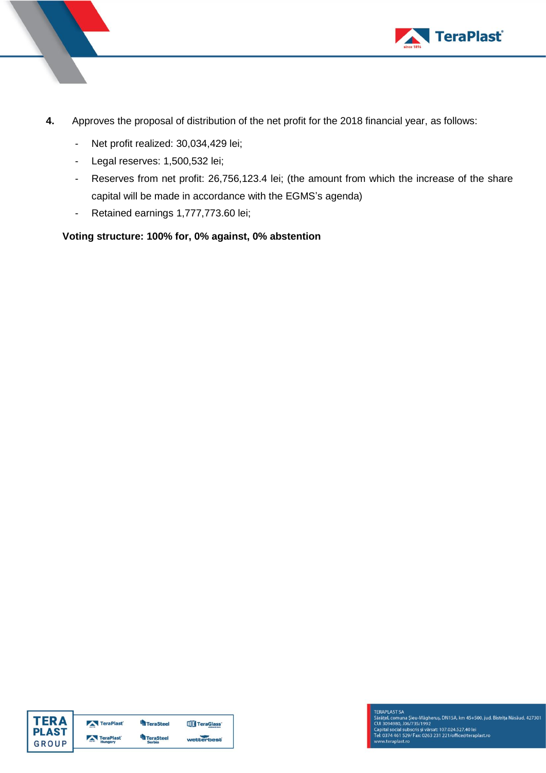

- **4.** Approves the proposal of distribution of the net profit for the 2018 financial year, as follows:
	- Net profit realized: 30,034,429 lei;
	- Legal reserves: 1,500,532 lei;
	- Reserves from net profit: 26,756,123.4 lei; (the amount from which the increase of the share capital will be made in accordance with the EGMS's agenda)
	- Retained earnings 1,777,773.60 lei;

### **Voting structure: 100% for, 0% against, 0% abstention**

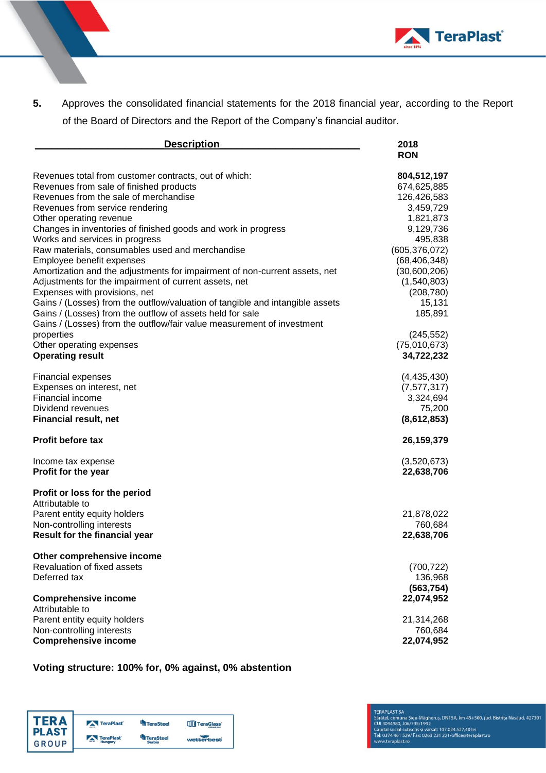

**5.** Approves the consolidated financial statements for the 2018 financial year, according to the Report of the Board of Directors and the Report of the Company's financial auditor.

| <b>Description</b>                                                            | 2018            |
|-------------------------------------------------------------------------------|-----------------|
|                                                                               | <b>RON</b>      |
| Revenues total from customer contracts, out of which:                         | 804,512,197     |
| Revenues from sale of finished products                                       | 674,625,885     |
| Revenues from the sale of merchandise                                         | 126,426,583     |
| Revenues from service rendering                                               | 3,459,729       |
| Other operating revenue                                                       | 1,821,873       |
| Changes in inventories of finished goods and work in progress                 | 9,129,736       |
| Works and services in progress                                                | 495,838         |
| Raw materials, consumables used and merchandise                               | (605, 376, 072) |
| Employee benefit expenses                                                     | (68, 406, 348)  |
| Amortization and the adjustments for impairment of non-current assets, net    | (30,600,206)    |
| Adjustments for the impairment of current assets, net                         | (1,540,803)     |
| Expenses with provisions, net                                                 | (208, 780)      |
| Gains / (Losses) from the outflow/valuation of tangible and intangible assets | 15,131          |
| Gains / (Losses) from the outflow of assets held for sale                     | 185,891         |
| Gains / (Losses) from the outflow/fair value measurement of investment        |                 |
| properties                                                                    | (245, 552)      |
| Other operating expenses                                                      | (75,010,673)    |
| <b>Operating result</b>                                                       | 34,722,232      |
|                                                                               |                 |
| <b>Financial expenses</b>                                                     | (4,435,430)     |
| Expenses on interest, net                                                     | (7, 577, 317)   |
| Financial income                                                              | 3,324,694       |
| Dividend revenues                                                             | 75,200          |
| <b>Financial result, net</b>                                                  | (8,612,853)     |
| <b>Profit before tax</b>                                                      | 26,159,379      |
| Income tax expense                                                            | (3,520,673)     |
| Profit for the year                                                           | 22,638,706      |
| Profit or loss for the period                                                 |                 |
| Attributable to                                                               |                 |
| Parent entity equity holders                                                  | 21,878,022      |
| Non-controlling interests                                                     | 760,684         |
| Result for the financial year                                                 | 22,638,706      |
|                                                                               |                 |
| Other comprehensive income                                                    |                 |
| Revaluation of fixed assets                                                   | (700, 722)      |
| Deferred tax                                                                  | 136,968         |
|                                                                               | (563, 754)      |
| <b>Comprehensive income</b>                                                   | 22,074,952      |
| Attributable to                                                               |                 |
| Parent entity equity holders                                                  | 21,314,268      |
| Non-controlling interests                                                     | 760,684         |
| <b>Comprehensive income</b>                                                   | 22,074,952      |

#### **Voting structure: 100% for, 0% against, 0% abstention**

| TER A | TeraPlast | <b>TeraSteel</b> | <b>TIT</b> TeraGlass' |
|-------|-----------|------------------|-----------------------|
| PLAST | TeraPlast | <b>TeraSteel</b> | wetterbest            |
| GROUP | Hungary   | <b>Serbia</b>    |                       |

**TERAPLAST SA**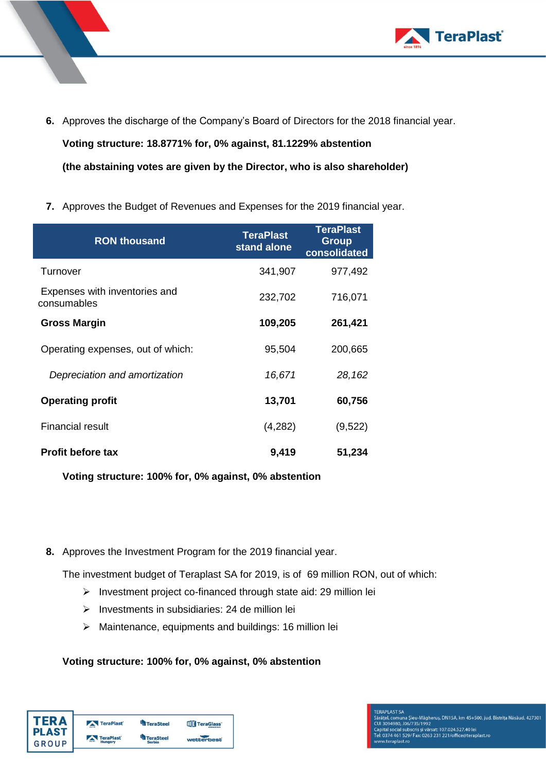

**6.** Approves the discharge of the Company's Board of Directors for the 2018 financial year.

**Voting structure: 18.8771% for, 0% against, 81.1229% abstention (the abstaining votes are given by the Director, who is also shareholder)**

**7.** Approves the Budget of Revenues and Expenses for the 2019 financial year.

| <b>RON thousand</b>                          | <b>TeraPlast</b><br>stand alone | <b>TeraPlast</b><br>Group<br>consolidated |
|----------------------------------------------|---------------------------------|-------------------------------------------|
| Turnover                                     | 341,907                         | 977,492                                   |
| Expenses with inventories and<br>consumables | 232,702                         | 716,071                                   |
| <b>Gross Margin</b>                          | 109,205                         | 261,421                                   |
| Operating expenses, out of which:            | 95,504                          | 200,665                                   |
| Depreciation and amortization                | 16,671                          | 28,162                                    |
| <b>Operating profit</b>                      | 13,701                          | 60,756                                    |
| <b>Financial result</b>                      | (4,282)                         | (9,522)                                   |
| <b>Profit before tax</b>                     | 9,419                           | 51,234                                    |

**Voting structure: 100% for, 0% against, 0% abstention**

**8.** Approves the Investment Program for the 2019 financial year.

The investment budget of Teraplast SA for 2019, is of 69 million RON, out of which:

- ➢ Investment project co-financed through state aid: 29 million lei
- ➢ Investments in subsidiaries: 24 de million lei
- ➢ Maintenance, equipments and buildings: 16 million lei

# **Voting structure: 100% for, 0% against, 0% abstention**

| FR A    | TeraPlast | <b>TeraSteel</b> | <b>TIT</b> TeraGlass' |
|---------|-----------|------------------|-----------------------|
| I PLAST | TeraPlast | <b>TeraSteel</b> | wetterbest            |
| GROUP   | Hungary   | <b>Serbia</b>    |                       |

**TERAPLAST SA** rasev – US-2011<br>Sárátel, comuna Şieu-Măgheruș, DN15A, km 45+500, jud. Bistrița Năsăud, 427301<br>Cul 3094980, J06/735/1992<br>Capital social subscris și vărsat: 107.024.527.40 lei<br>Tel: 0374 461 529/ Fax: 0263 231 221/office@tera v.teraplast.ro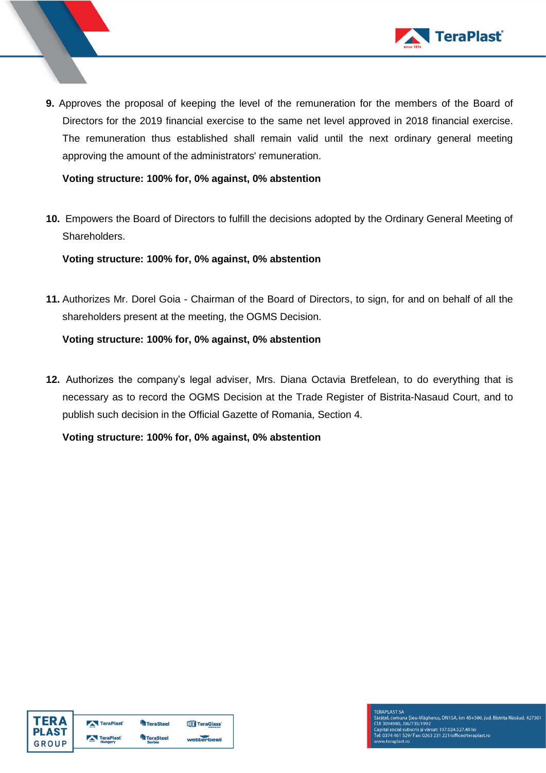

**9.** Approves the proposal of keeping the level of the remuneration for the members of the Board of Directors for the 2019 financial exercise to the same net level approved in 2018 financial exercise. The remuneration thus established shall remain valid until the next ordinary general meeting approving the amount of the administrators' remuneration.

**Voting structure: 100% for, 0% against, 0% abstention**

**10.** Empowers the Board of Directors to fulfill the decisions adopted by the Ordinary General Meeting of Shareholders.

**Voting structure: 100% for, 0% against, 0% abstention**

**11.** Authorizes Mr. Dorel Goia - Chairman of the Board of Directors, to sign, for and on behalf of all the shareholders present at the meeting, the OGMS Decision.

**Voting structure: 100% for, 0% against, 0% abstention**

**12.** Authorizes the company's legal adviser, Mrs. Diana Octavia Bretfelean, to do everything that is necessary as to record the OGMS Decision at the Trade Register of Bistrita-Nasaud Court, and to publish such decision in the Official Gazette of Romania, Section 4.

**Voting structure: 100% for, 0% against, 0% abstention**

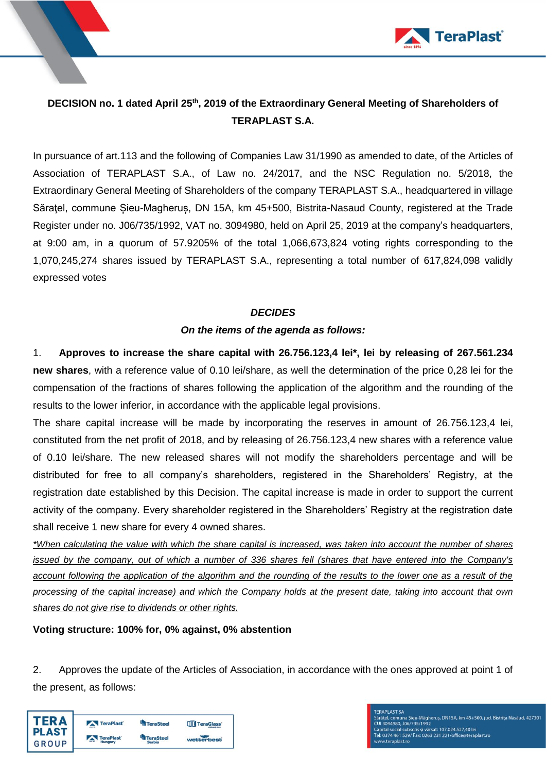

# **DECISION no. 1 dated April 25 th , 2019 of the Extraordinary General Meeting of Shareholders of TERAPLAST S.A.**

In pursuance of art.113 and the following of Companies Law 31/1990 as amended to date, of the Articles of Association of TERAPLAST S.A., of Law no. 24/2017, and the NSC Regulation no. 5/2018, the Extraordinary General Meeting of Shareholders of the company TERAPLAST S.A., headquartered in village Săratel, commune Sieu-Magherus, DN 15A, km 45+500, Bistrita-Nasaud County, registered at the Trade Register under no. J06/735/1992, VAT no. 3094980, held on April 25, 2019 at the company's headquarters, at 9:00 am, in a quorum of 57.9205% of the total 1,066,673,824 voting rights corresponding to the 1,070,245,274 shares issued by TERAPLAST S.A., representing a total number of 617,824,098 validly expressed votes

### *DECIDES*

### *On the items of the agenda as follows:*

1. **Approves to increase the share capital with 26.756.123,4 lei\*, lei by releasing of 267.561.234 new shares**, with a reference value of 0.10 lei/share, as well the determination of the price 0,28 lei for the compensation of the fractions of shares following the application of the algorithm and the rounding of the results to the lower inferior, in accordance with the applicable legal provisions.

The share capital increase will be made by incorporating the reserves in amount of 26.756.123,4 lei, constituted from the net profit of 2018, and by releasing of 26.756.123,4 new shares with a reference value of 0.10 lei/share. The new released shares will not modify the shareholders percentage and will be distributed for free to all company's shareholders, registered in the Shareholders' Registry, at the registration date established by this Decision. The capital increase is made in order to support the current activity of the company. Every shareholder registered in the Shareholders' Registry at the registration date shall receive 1 new share for every 4 owned shares.

*\*When calculating the value with which the share capital is increased, was taken into account the number of shares issued by the company, out of which a number of 336 shares fell (shares that have entered into the Company's account following the application of the algorithm and the rounding of the results to the lower one as a result of the processing of the capital increase) and which the Company holds at the present date, taking into account that own shares do not give rise to dividends or other rights.*

### **Voting structure: 100% for, 0% against, 0% abstention**

2. Approves the update of the Articles of Association, in accordance with the ones approved at point 1 of the present, as follows:

| <b>FERA</b> | TeraPlast | <b>TeraSteel</b> | <b>TTT</b> TeraGlass' |
|-------------|-----------|------------------|-----------------------|
| PLAST       | TeraPlast | <b>TeraSteel</b> |                       |
| GROUP       | Hungary   | <b>Serbia</b>    | wetterbest            |

**FERAPLAST SA** rasa v. Urasa<br>Sārātel, comuna Șieu-Māgheruș, DN15A, km 45+500, jud. Bistrița Nāsāud, 427301<br>Capital social subscris și vărsat: 107.024.527.40 lei<br>Tel: 0374 461 529/ Fax: 0263 231 221/office@teraplast.ro<br>Tel: 0374 461 529/ w.teraplast.ro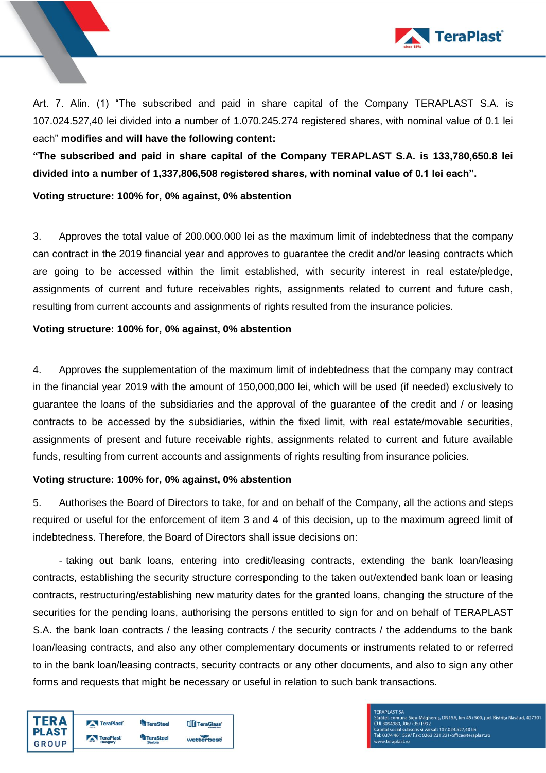

Art. 7. Alin. (1) "The subscribed and paid in share capital of the Company TERAPLAST S.A. is 107.024.527,40 lei divided into a number of 1.070.245.274 registered shares, with nominal value of 0.1 lei each" **modifies and will have the following content:**

**"The subscribed and paid in share capital of the Company TERAPLAST S.A. is 133,780,650.8 lei divided into a number of 1,337,806,508 registered shares, with nominal value of 0.1 lei each".**

**Voting structure: 100% for, 0% against, 0% abstention**

3. Approves the total value of 200.000.000 lei as the maximum limit of indebtedness that the company can contract in the 2019 financial year and approves to guarantee the credit and/or leasing contracts which are going to be accessed within the limit established, with security interest in real estate/pledge, assignments of current and future receivables rights, assignments related to current and future cash, resulting from current accounts and assignments of rights resulted from the insurance policies.

#### **Voting structure: 100% for, 0% against, 0% abstention**

4. Approves the supplementation of the maximum limit of indebtedness that the company may contract in the financial year 2019 with the amount of 150,000,000 lei, which will be used (if needed) exclusively to guarantee the loans of the subsidiaries and the approval of the guarantee of the credit and / or leasing contracts to be accessed by the subsidiaries, within the fixed limit, with real estate/movable securities, assignments of present and future receivable rights, assignments related to current and future available funds, resulting from current accounts and assignments of rights resulting from insurance policies.

#### **Voting structure: 100% for, 0% against, 0% abstention**

5. Authorises the Board of Directors to take, for and on behalf of the Company, all the actions and steps required or useful for the enforcement of item 3 and 4 of this decision, up to the maximum agreed limit of indebtedness. Therefore, the Board of Directors shall issue decisions on:

- taking out bank loans, entering into credit/leasing contracts, extending the bank loan/leasing contracts, establishing the security structure corresponding to the taken out/extended bank loan or leasing contracts, restructuring/establishing new maturity dates for the granted loans, changing the structure of the securities for the pending loans, authorising the persons entitled to sign for and on behalf of TERAPLAST S.A. the bank loan contracts / the leasing contracts / the security contracts / the addendums to the bank loan/leasing contracts, and also any other complementary documents or instruments related to or referred to in the bank loan/leasing contracts, security contracts or any other documents, and also to sign any other forms and requests that might be necessary or useful in relation to such bank transactions.



**FERAPLAST SA** l, comuna Șieu-Măgheruș, DN15A, km 45+500, jud. Bistrița Năsăud, 427301 Saraței, comuna șieu-magneruș, DNT5A, KM 45+500, jud.<br>CUJ 3094980, J06/735/1992<br>Capital social subscris și vărsat: 107.024.527.40 lei<br>Tel: 0374 461 529/ Fax: 0263 231 221/office@teraplast.ro w.teraplast.ro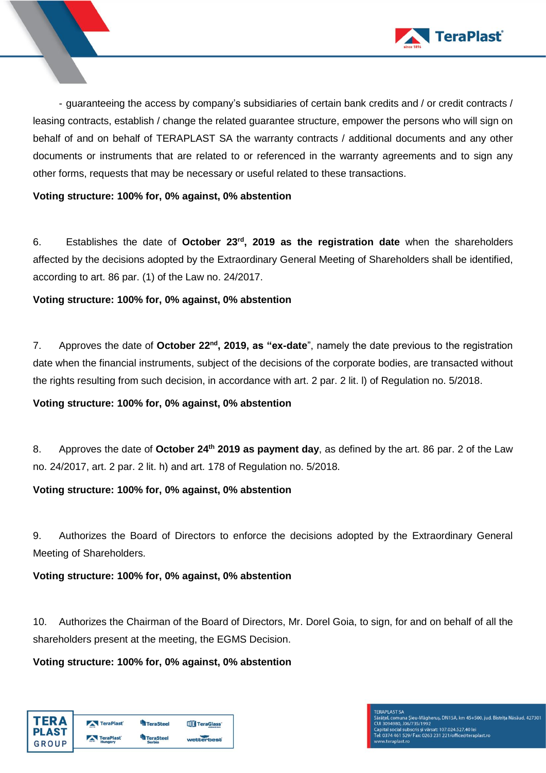

- guaranteeing the access by company's subsidiaries of certain bank credits and / or credit contracts / leasing contracts, establish / change the related guarantee structure, empower the persons who will sign on behalf of and on behalf of TERAPLAST SA the warranty contracts / additional documents and any other documents or instruments that are related to or referenced in the warranty agreements and to sign any other forms, requests that may be necessary or useful related to these transactions.

#### **Voting structure: 100% for, 0% against, 0% abstention**

6. Establishes the date of **October 23rd , 2019 as the registration date** when the shareholders affected by the decisions adopted by the Extraordinary General Meeting of Shareholders shall be identified, according to art. 86 par. (1) of the Law no. 24/2017.

**Voting structure: 100% for, 0% against, 0% abstention**

7. Approves the date of **October 22nd, 2019, as "ex-date**", namely the date previous to the registration date when the financial instruments, subject of the decisions of the corporate bodies, are transacted without the rights resulting from such decision, in accordance with art. 2 par. 2 lit. l) of Regulation no. 5/2018.

#### **Voting structure: 100% for, 0% against, 0% abstention**

8. Approves the date of **October 24 th 2019 as payment day**, as defined by the art. 86 par. 2 of the Law no. 24/2017, art. 2 par. 2 lit. h) and art. 178 of Regulation no. 5/2018.

#### **Voting structure: 100% for, 0% against, 0% abstention**

9. Authorizes the Board of Directors to enforce the decisions adopted by the Extraordinary General Meeting of Shareholders.

### **Voting structure: 100% for, 0% against, 0% abstention**

10. Authorizes the Chairman of the Board of Directors, Mr. Dorel Goia, to sign, for and on behalf of all the shareholders present at the meeting, the EGMS Decision.

**Voting structure: 100% for, 0% against, 0% abstention**

| ГFR A<br><b>PLAST</b> | TeraPlast | <b>TeraSteel</b> | <b>ITIT TeraGlass</b> |
|-----------------------|-----------|------------------|-----------------------|
|                       | TeraPlast | <b>TeraSteel</b> |                       |
| GROUP                 | Hungary   | <b>Serbia</b>    | wetterbest            |

# **FERAPLAST SA** ruevi e usoru<br>Sārātel, comuna Șieu-Māgheruș, DN15A, km 45+500, jud. Bistrița Nāsāud, 427301<br>Capītal social subscris și vārsat: 107.024.527.40 lei<br>Tei: 0374 461 529/ Fax: 0263 231 221/office@teraplast.ro<br>Tei: 0374 461 529/